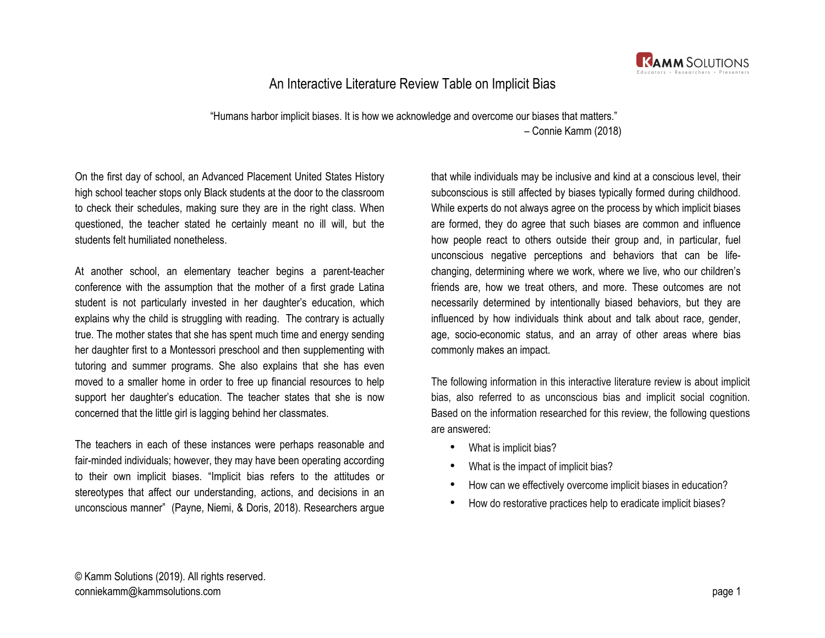

## An Interactive Literature Review Table on Implicit Bias

 "Humans harbor implicit biases. It is how we acknowledge and overcome our biases that matters." – Connie Kamm (2018)

On the first day of school, an Advanced Placement United States History high school teacher stops only Black students at the door to the classroom to check their schedules, making sure they are in the right class. When questioned, the teacher stated he certainly meant no ill will, but the students felt humiliated nonetheless.

At another school, an elementary teacher begins a parent-teacher conference with the assumption that the mother of a first grade Latina student is not particularly invested in her daughter's education, which explains why the child is struggling with reading. The contrary is actually true. The mother states that she has spent much time and energy sending her daughter first to a Montessori preschool and then supplementing with tutoring and summer programs. She also explains that she has even moved to a smaller home in order to free up financial resources to help support her daughter's education. The teacher states that she is now concerned that the little girl is lagging behind her classmates.

The teachers in each of these instances were perhaps reasonable and fair-minded individuals; however, they may have been operating according to their own implicit biases. "Implicit bias refers to the attitudes or stereotypes that affect our understanding, actions, and decisions in an unconscious manner" (Payne, Niemi, & Doris, 2018). Researchers argue

that while individuals may be inclusive and kind at a conscious level, their subconscious is still affected by biases typically formed during childhood. While experts do not always agree on the process by which implicit biases are formed, they do agree that such biases are common and influence how people react to others outside their group and, in particular, fuel unconscious negative perceptions and behaviors that can be lifechanging, determining where we work, where we live, who our children's friends are, how we treat others, and more. These outcomes are not necessarily determined by intentionally biased behaviors, but they are influenced by how individuals think about and talk about race, gender, age, socio-economic status, and an array of other areas where bias commonly makes an impact.

The following information in this interactive literature review is about implicit bias, also referred to as unconscious bias and implicit social cognition. Based on the information researched for this review, the following questions are answered:

- What is implicit bias?
- What is the impact of implicit bias?
- How can we effectively overcome implicit biases in education?
- How do restorative practices help to eradicate implicit biases?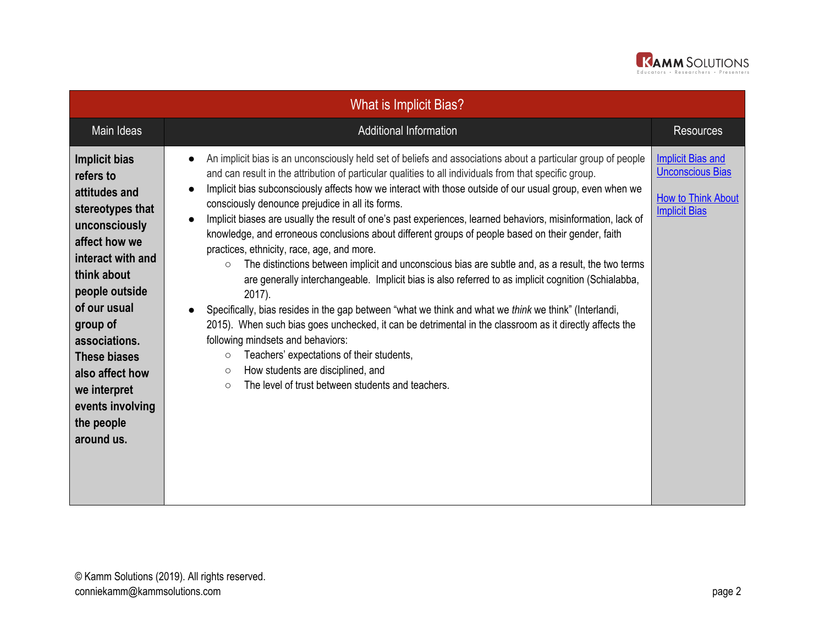

| <b>What is Implicit Bias?</b>                                                                                                                                                                                                                                                                           |                                                                                                                                                                                                                                                                                                                                                                                                                                                                                                                                                                                                                                                                                                                                                                                                                                                                                                                                                                                                                                                                                                                                                                                                                                                                                                                                                        |                                                                                                          |  |
|---------------------------------------------------------------------------------------------------------------------------------------------------------------------------------------------------------------------------------------------------------------------------------------------------------|--------------------------------------------------------------------------------------------------------------------------------------------------------------------------------------------------------------------------------------------------------------------------------------------------------------------------------------------------------------------------------------------------------------------------------------------------------------------------------------------------------------------------------------------------------------------------------------------------------------------------------------------------------------------------------------------------------------------------------------------------------------------------------------------------------------------------------------------------------------------------------------------------------------------------------------------------------------------------------------------------------------------------------------------------------------------------------------------------------------------------------------------------------------------------------------------------------------------------------------------------------------------------------------------------------------------------------------------------------|----------------------------------------------------------------------------------------------------------|--|
| Main Ideas                                                                                                                                                                                                                                                                                              | <b>Additional Information</b>                                                                                                                                                                                                                                                                                                                                                                                                                                                                                                                                                                                                                                                                                                                                                                                                                                                                                                                                                                                                                                                                                                                                                                                                                                                                                                                          | <b>Resources</b>                                                                                         |  |
| Implicit bias<br>refers to<br>attitudes and<br>stereotypes that<br>unconsciously<br>affect how we<br>interact with and<br>think about<br>people outside<br>of our usual<br>group of<br>associations.<br>These biases<br>also affect how<br>we interpret<br>events involving<br>the people<br>around us. | An implicit bias is an unconsciously held set of beliefs and associations about a particular group of people<br>$\bullet$<br>and can result in the attribution of particular qualities to all individuals from that specific group.<br>Implicit bias subconsciously affects how we interact with those outside of our usual group, even when we<br>$\bullet$<br>consciously denounce prejudice in all its forms.<br>Implicit biases are usually the result of one's past experiences, learned behaviors, misinformation, lack of<br>knowledge, and erroneous conclusions about different groups of people based on their gender, faith<br>practices, ethnicity, race, age, and more.<br>The distinctions between implicit and unconscious bias are subtle and, as a result, the two terms<br>$\circ$<br>are generally interchangeable. Implicit bias is also referred to as implicit cognition (Schialabba,<br>2017).<br>Specifically, bias resides in the gap between "what we think and what we think we think" (Interlandi,<br>2015). When such bias goes unchecked, it can be detrimental in the classroom as it directly affects the<br>following mindsets and behaviors:<br>Teachers' expectations of their students,<br>$\circ$<br>How students are disciplined, and<br>$\circ$<br>The level of trust between students and teachers.<br>$\circ$ | <b>Implicit Bias and</b><br><b>Unconscious Bias</b><br><b>How to Think About</b><br><b>Implicit Bias</b> |  |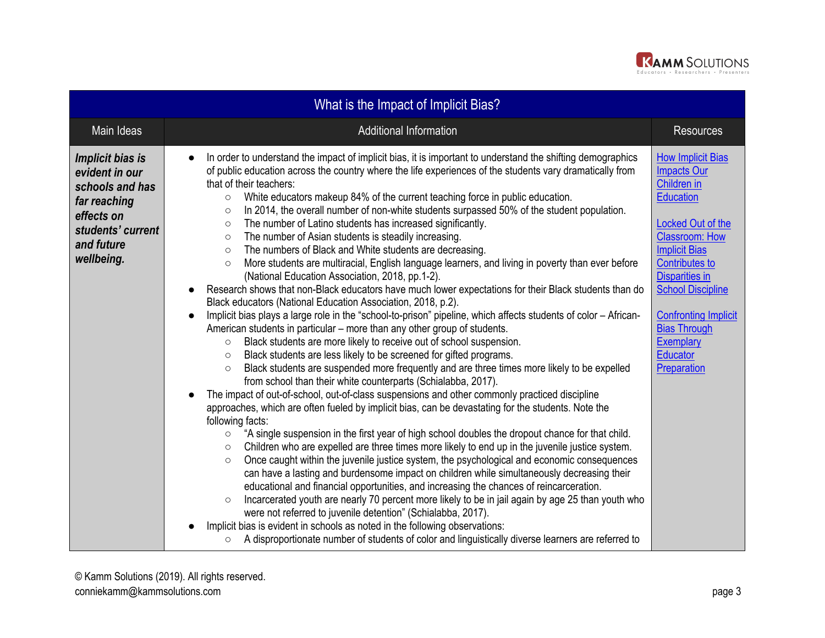

| What is the Impact of Implicit Bias?                                                                                                 |                                                                                                                                                                                                                                                                                                                                                                                                                                                                                                                                                                                                                                                                                                                                                                                                                                                                                                                                                                                                                                                                                                                                                                                                                                                                                                                                                                                                                                                                                                                                                                                                                                                                                                                                                                                                                                                                                                                                                                                                                                                                                                                                                                                                                                                                                                                                                                                                                                                                                                                                                                                                                                                                                                                                        |                                                                                                                                                                                                                                                                                                                                            |  |
|--------------------------------------------------------------------------------------------------------------------------------------|----------------------------------------------------------------------------------------------------------------------------------------------------------------------------------------------------------------------------------------------------------------------------------------------------------------------------------------------------------------------------------------------------------------------------------------------------------------------------------------------------------------------------------------------------------------------------------------------------------------------------------------------------------------------------------------------------------------------------------------------------------------------------------------------------------------------------------------------------------------------------------------------------------------------------------------------------------------------------------------------------------------------------------------------------------------------------------------------------------------------------------------------------------------------------------------------------------------------------------------------------------------------------------------------------------------------------------------------------------------------------------------------------------------------------------------------------------------------------------------------------------------------------------------------------------------------------------------------------------------------------------------------------------------------------------------------------------------------------------------------------------------------------------------------------------------------------------------------------------------------------------------------------------------------------------------------------------------------------------------------------------------------------------------------------------------------------------------------------------------------------------------------------------------------------------------------------------------------------------------------------------------------------------------------------------------------------------------------------------------------------------------------------------------------------------------------------------------------------------------------------------------------------------------------------------------------------------------------------------------------------------------------------------------------------------------------------------------------------------------|--------------------------------------------------------------------------------------------------------------------------------------------------------------------------------------------------------------------------------------------------------------------------------------------------------------------------------------------|--|
| Main Ideas                                                                                                                           | <b>Additional Information</b>                                                                                                                                                                                                                                                                                                                                                                                                                                                                                                                                                                                                                                                                                                                                                                                                                                                                                                                                                                                                                                                                                                                                                                                                                                                                                                                                                                                                                                                                                                                                                                                                                                                                                                                                                                                                                                                                                                                                                                                                                                                                                                                                                                                                                                                                                                                                                                                                                                                                                                                                                                                                                                                                                                          | <b>Resources</b>                                                                                                                                                                                                                                                                                                                           |  |
| Implicit bias is<br>evident in our<br>schools and has<br>far reaching<br>effects on<br>students' current<br>and future<br>wellbeing. | In order to understand the impact of implicit bias, it is important to understand the shifting demographics<br>of public education across the country where the life experiences of the students vary dramatically from<br>that of their teachers:<br>White educators makeup 84% of the current teaching force in public education.<br>$\circ$<br>In 2014, the overall number of non-white students surpassed 50% of the student population.<br>$\circ$<br>The number of Latino students has increased significantly.<br>$\circ$<br>The number of Asian students is steadily increasing.<br>$\circ$<br>The numbers of Black and White students are decreasing.<br>$\circ$<br>More students are multiracial, English language learners, and living in poverty than ever before<br>$\circ$<br>(National Education Association, 2018, pp.1-2).<br>Research shows that non-Black educators have much lower expectations for their Black students than do<br>$\bullet$<br>Black educators (National Education Association, 2018, p.2).<br>Implicit bias plays a large role in the "school-to-prison" pipeline, which affects students of color - African-<br>$\bullet$<br>American students in particular - more than any other group of students.<br>Black students are more likely to receive out of school suspension.<br>$\circ$<br>Black students are less likely to be screened for gifted programs.<br>$\circ$<br>Black students are suspended more frequently and are three times more likely to be expelled<br>$\circ$<br>from school than their white counterparts (Schialabba, 2017).<br>The impact of out-of-school, out-of-class suspensions and other commonly practiced discipline<br>approaches, which are often fueled by implicit bias, can be devastating for the students. Note the<br>following facts:<br>"A single suspension in the first year of high school doubles the dropout chance for that child.<br>$\circ$<br>Children who are expelled are three times more likely to end up in the juvenile justice system.<br>$\circ$<br>Once caught within the juvenile justice system, the psychological and economic consequences<br>$\circ$<br>can have a lasting and burdensome impact on children while simultaneously decreasing their<br>educational and financial opportunities, and increasing the chances of reincarceration.<br>Incarcerated youth are nearly 70 percent more likely to be in jail again by age 25 than youth who<br>$\circ$<br>were not referred to juvenile detention" (Schialabba, 2017).<br>Implicit bias is evident in schools as noted in the following observations:<br>A disproportionate number of students of color and linguistically diverse learners are referred to<br>$\circ$ | <b>How Implicit Bias</b><br><b>Impacts Our</b><br>Children in<br><b>Education</b><br>Locked Out of the<br><b>Classroom: How</b><br><b>Implicit Bias</b><br>Contributes to<br><b>Disparities in</b><br><b>School Discipline</b><br><b>Confronting Implicit</b><br><b>Bias Through</b><br><b>Exemplary</b><br><b>Educator</b><br>Preparation |  |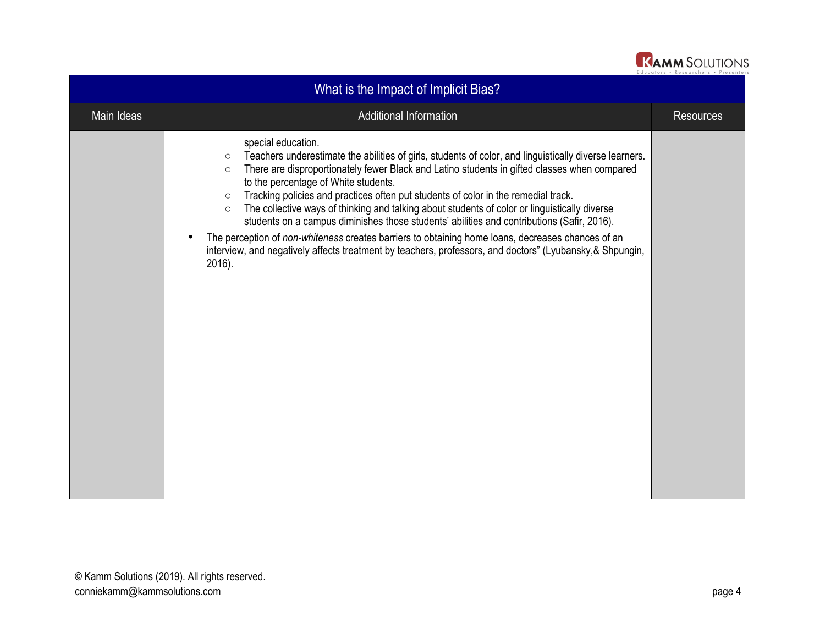

| What is the Impact of Implicit Bias? |                                                                                                                                                                                                                                                                                                                                                                                                                                                                                                                                                                                                                                                                                                                                                                                                                                   |                  |
|--------------------------------------|-----------------------------------------------------------------------------------------------------------------------------------------------------------------------------------------------------------------------------------------------------------------------------------------------------------------------------------------------------------------------------------------------------------------------------------------------------------------------------------------------------------------------------------------------------------------------------------------------------------------------------------------------------------------------------------------------------------------------------------------------------------------------------------------------------------------------------------|------------------|
| Main Ideas                           | Additional Information                                                                                                                                                                                                                                                                                                                                                                                                                                                                                                                                                                                                                                                                                                                                                                                                            | <b>Resources</b> |
|                                      | special education.<br>Teachers underestimate the abilities of girls, students of color, and linguistically diverse learners.<br>$\circ$<br>There are disproportionately fewer Black and Latino students in gifted classes when compared<br>$\circ$<br>to the percentage of White students.<br>Tracking policies and practices often put students of color in the remedial track.<br>$\circ$<br>The collective ways of thinking and talking about students of color or linguistically diverse<br>$\circ$<br>students on a campus diminishes those students' abilities and contributions (Safir, 2016).<br>The perception of non-whiteness creates barriers to obtaining home loans, decreases chances of an<br>interview, and negatively affects treatment by teachers, professors, and doctors" (Lyubansky, & Shpungin,<br>2016). |                  |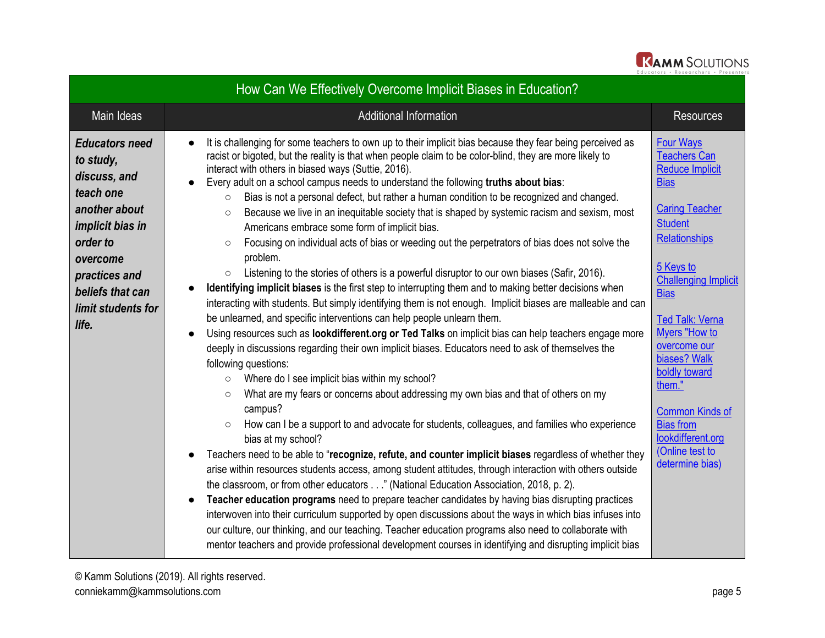

| How Can We Effectively Overcome Implicit Biases in Education?                                                                                                                                           |                                                                                                                                                                                                                                                                                                                                                                                                                                                                                                                                                                                                                                                                                                                                                                                                                                                                                                                                                                                                                                                                                                                                                                                                                                                                                                                                                                                                                                                                                                                                                                                                                                                                                                                                                                                                                                                                                                                                                                                                                                                                                                                                                                                                                                                                                                                                                                                                                                                                                                                                                      |                                                                                                                                                                                                                                                                                                                                                                                                                               |  |
|---------------------------------------------------------------------------------------------------------------------------------------------------------------------------------------------------------|------------------------------------------------------------------------------------------------------------------------------------------------------------------------------------------------------------------------------------------------------------------------------------------------------------------------------------------------------------------------------------------------------------------------------------------------------------------------------------------------------------------------------------------------------------------------------------------------------------------------------------------------------------------------------------------------------------------------------------------------------------------------------------------------------------------------------------------------------------------------------------------------------------------------------------------------------------------------------------------------------------------------------------------------------------------------------------------------------------------------------------------------------------------------------------------------------------------------------------------------------------------------------------------------------------------------------------------------------------------------------------------------------------------------------------------------------------------------------------------------------------------------------------------------------------------------------------------------------------------------------------------------------------------------------------------------------------------------------------------------------------------------------------------------------------------------------------------------------------------------------------------------------------------------------------------------------------------------------------------------------------------------------------------------------------------------------------------------------------------------------------------------------------------------------------------------------------------------------------------------------------------------------------------------------------------------------------------------------------------------------------------------------------------------------------------------------------------------------------------------------------------------------------------------------|-------------------------------------------------------------------------------------------------------------------------------------------------------------------------------------------------------------------------------------------------------------------------------------------------------------------------------------------------------------------------------------------------------------------------------|--|
| Main Ideas                                                                                                                                                                                              | <b>Additional Information</b>                                                                                                                                                                                                                                                                                                                                                                                                                                                                                                                                                                                                                                                                                                                                                                                                                                                                                                                                                                                                                                                                                                                                                                                                                                                                                                                                                                                                                                                                                                                                                                                                                                                                                                                                                                                                                                                                                                                                                                                                                                                                                                                                                                                                                                                                                                                                                                                                                                                                                                                        | <b>Resources</b>                                                                                                                                                                                                                                                                                                                                                                                                              |  |
| <b>Educators need</b><br>to study,<br>discuss, and<br>teach one<br>another about<br><i>implicit bias in</i><br>order to<br>overcome<br>practices and<br>beliefs that can<br>limit students for<br>life. | It is challenging for some teachers to own up to their implicit bias because they fear being perceived as<br>$\bullet$<br>racist or bigoted, but the reality is that when people claim to be color-blind, they are more likely to<br>interact with others in biased ways (Suttie, 2016).<br>Every adult on a school campus needs to understand the following truths about bias:<br>$\bullet$<br>Bias is not a personal defect, but rather a human condition to be recognized and changed.<br>$\circ$<br>Because we live in an inequitable society that is shaped by systemic racism and sexism, most<br>$\circ$<br>Americans embrace some form of implicit bias.<br>Focusing on individual acts of bias or weeding out the perpetrators of bias does not solve the<br>$\circ$<br>problem.<br>Listening to the stories of others is a powerful disruptor to our own biases (Safir, 2016).<br>$\circ$<br>Identifying implicit biases is the first step to interrupting them and to making better decisions when<br>interacting with students. But simply identifying them is not enough. Implicit biases are malleable and can<br>be unlearned, and specific interventions can help people unlearn them.<br>Using resources such as lookdifferent.org or Ted Talks on implicit bias can help teachers engage more<br>$\bullet$<br>deeply in discussions regarding their own implicit biases. Educators need to ask of themselves the<br>following questions:<br>Where do I see implicit bias within my school?<br>$\circ$<br>What are my fears or concerns about addressing my own bias and that of others on my<br>$\circ$<br>campus?<br>How can I be a support to and advocate for students, colleagues, and families who experience<br>$\circ$<br>bias at my school?<br>Teachers need to be able to "recognize, refute, and counter implicit biases regardless of whether they<br>$\bullet$<br>arise within resources students access, among student attitudes, through interaction with others outside<br>the classroom, or from other educators" (National Education Association, 2018, p. 2).<br>Teacher education programs need to prepare teacher candidates by having bias disrupting practices<br>$\bullet$<br>interwoven into their curriculum supported by open discussions about the ways in which bias infuses into<br>our culture, our thinking, and our teaching. Teacher education programs also need to collaborate with<br>mentor teachers and provide professional development courses in identifying and disrupting implicit bias | <b>Four Ways</b><br><b>Teachers Can</b><br><b>Reduce Implicit</b><br><b>Bias</b><br><b>Caring Teacher</b><br><b>Student</b><br><b>Relationships</b><br>5 Keys to<br><b>Challenging Implicit</b><br><b>Bias</b><br><b>Ted Talk: Verna</b><br>Myers "How to<br>overcome our<br>biases? Walk<br>boldly toward<br>them."<br><b>Common Kinds of</b><br><b>Bias from</b><br>lookdifferent.org<br>(Online test to<br>determine bias) |  |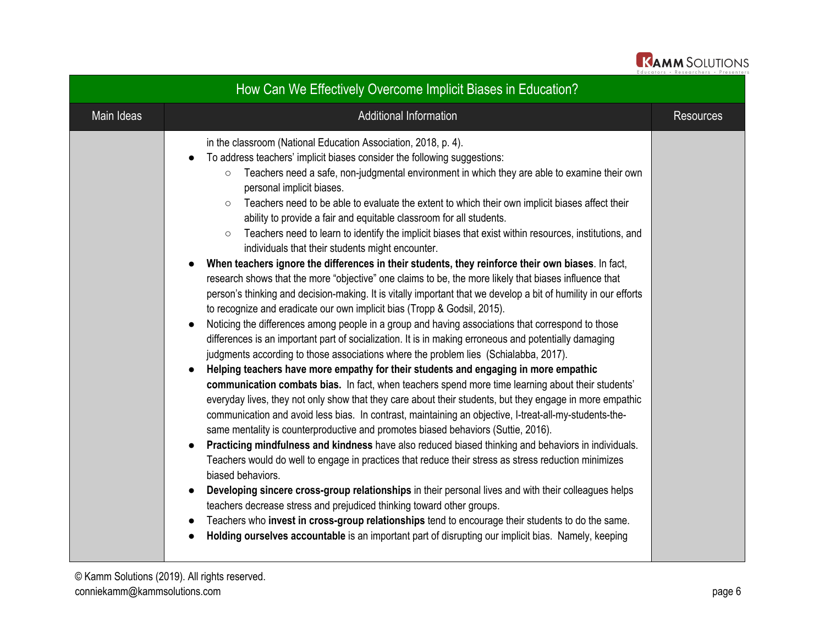

| How Can We Effectively Overcome Implicit Biases in Education? |                                                                                                                                                                                                                                                                                                                                                                                                                                                                                                                                                                                                                                                                                                                                                                                                                                                                                                                                                                                                                                                                                                                                                                                                                                                                                                                                                                                                                                                                                                                                                                                                                                                                                                                                                                                                                                                                                                                                                                                                                                                                                                                                                                                                                                                                                                                                                                                                                                                                                                                         |                  |
|---------------------------------------------------------------|-------------------------------------------------------------------------------------------------------------------------------------------------------------------------------------------------------------------------------------------------------------------------------------------------------------------------------------------------------------------------------------------------------------------------------------------------------------------------------------------------------------------------------------------------------------------------------------------------------------------------------------------------------------------------------------------------------------------------------------------------------------------------------------------------------------------------------------------------------------------------------------------------------------------------------------------------------------------------------------------------------------------------------------------------------------------------------------------------------------------------------------------------------------------------------------------------------------------------------------------------------------------------------------------------------------------------------------------------------------------------------------------------------------------------------------------------------------------------------------------------------------------------------------------------------------------------------------------------------------------------------------------------------------------------------------------------------------------------------------------------------------------------------------------------------------------------------------------------------------------------------------------------------------------------------------------------------------------------------------------------------------------------------------------------------------------------------------------------------------------------------------------------------------------------------------------------------------------------------------------------------------------------------------------------------------------------------------------------------------------------------------------------------------------------------------------------------------------------------------------------------------------------|------------------|
| Main Ideas                                                    | <b>Additional Information</b>                                                                                                                                                                                                                                                                                                                                                                                                                                                                                                                                                                                                                                                                                                                                                                                                                                                                                                                                                                                                                                                                                                                                                                                                                                                                                                                                                                                                                                                                                                                                                                                                                                                                                                                                                                                                                                                                                                                                                                                                                                                                                                                                                                                                                                                                                                                                                                                                                                                                                           | <b>Resources</b> |
|                                                               | in the classroom (National Education Association, 2018, p. 4).<br>To address teachers' implicit biases consider the following suggestions:<br>Teachers need a safe, non-judgmental environment in which they are able to examine their own<br>$\circ$<br>personal implicit biases.<br>Teachers need to be able to evaluate the extent to which their own implicit biases affect their<br>$\circ$<br>ability to provide a fair and equitable classroom for all students.<br>Teachers need to learn to identify the implicit biases that exist within resources, institutions, and<br>$\circ$<br>individuals that their students might encounter.<br>When teachers ignore the differences in their students, they reinforce their own biases. In fact,<br>research shows that the more "objective" one claims to be, the more likely that biases influence that<br>person's thinking and decision-making. It is vitally important that we develop a bit of humility in our efforts<br>to recognize and eradicate our own implicit bias (Tropp & Godsil, 2015).<br>Noticing the differences among people in a group and having associations that correspond to those<br>differences is an important part of socialization. It is in making erroneous and potentially damaging<br>judgments according to those associations where the problem lies (Schialabba, 2017).<br>Helping teachers have more empathy for their students and engaging in more empathic<br>communication combats bias. In fact, when teachers spend more time learning about their students'<br>everyday lives, they not only show that they care about their students, but they engage in more empathic<br>communication and avoid less bias. In contrast, maintaining an objective, I-treat-all-my-students-the-<br>same mentality is counterproductive and promotes biased behaviors (Suttie, 2016).<br>Practicing mindfulness and kindness have also reduced biased thinking and behaviors in individuals.<br>Teachers would do well to engage in practices that reduce their stress as stress reduction minimizes<br>biased behaviors.<br>Developing sincere cross-group relationships in their personal lives and with their colleagues helps<br>teachers decrease stress and prejudiced thinking toward other groups.<br>Teachers who invest in cross-group relationships tend to encourage their students to do the same.<br>$\bullet$<br>Holding ourselves accountable is an important part of disrupting our implicit bias. Namely, keeping |                  |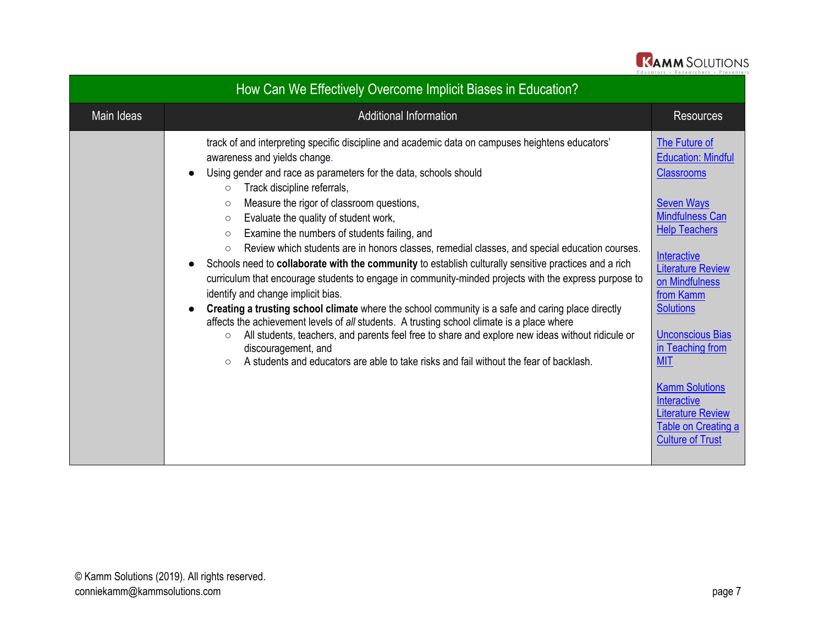

|            | How Can We Effectively Overcome Implicit Biases in Education?                                                                                                                                                                                                                                                                                                                                                                                                                                                                                                                                                                                                                                                                                                                                                                                                                                                                                                                                                                                                                                                                                                                                                                           |                                                                                                                                                                                                                                                                                                                                                                                                                         |
|------------|-----------------------------------------------------------------------------------------------------------------------------------------------------------------------------------------------------------------------------------------------------------------------------------------------------------------------------------------------------------------------------------------------------------------------------------------------------------------------------------------------------------------------------------------------------------------------------------------------------------------------------------------------------------------------------------------------------------------------------------------------------------------------------------------------------------------------------------------------------------------------------------------------------------------------------------------------------------------------------------------------------------------------------------------------------------------------------------------------------------------------------------------------------------------------------------------------------------------------------------------|-------------------------------------------------------------------------------------------------------------------------------------------------------------------------------------------------------------------------------------------------------------------------------------------------------------------------------------------------------------------------------------------------------------------------|
| Main Ideas | <b>Additional Information</b>                                                                                                                                                                                                                                                                                                                                                                                                                                                                                                                                                                                                                                                                                                                                                                                                                                                                                                                                                                                                                                                                                                                                                                                                           | <b>Resources</b>                                                                                                                                                                                                                                                                                                                                                                                                        |
|            | track of and interpreting specific discipline and academic data on campuses heightens educators'<br>awareness and yields change.<br>Using gender and race as parameters for the data, schools should<br>Track discipline referrals,<br>$\circ$<br>Measure the rigor of classroom questions,<br>$\circ$<br>Evaluate the quality of student work,<br>$\circ$<br>Examine the numbers of students failing, and<br>$\circ$<br>Review which students are in honors classes, remedial classes, and special education courses.<br>$\circ$<br>Schools need to collaborate with the community to establish culturally sensitive practices and a rich<br>curriculum that encourage students to engage in community-minded projects with the express purpose to<br>identify and change implicit bias.<br>Creating a trusting school climate where the school community is a safe and caring place directly<br>affects the achievement levels of all students. A trusting school climate is a place where<br>All students, teachers, and parents feel free to share and explore new ideas without ridicule or<br>$\circ$<br>discouragement, and<br>A students and educators are able to take risks and fail without the fear of backlash.<br>$\circ$ | The Future of<br><b>Education: Mindful</b><br><b>Classrooms</b><br><b>Seven Ways</b><br><b>Mindfulness Can</b><br><b>Help Teachers</b><br>Interactive<br><b>Literature Review</b><br>on Mindfulness<br>from Kamm<br><b>Solutions</b><br><b>Unconscious Bias</b><br>in Teaching from<br><b>MIT</b><br><b>Kamm Solutions</b><br>Interactive<br><b>Literature Review</b><br>Table on Creating a<br><b>Culture of Trust</b> |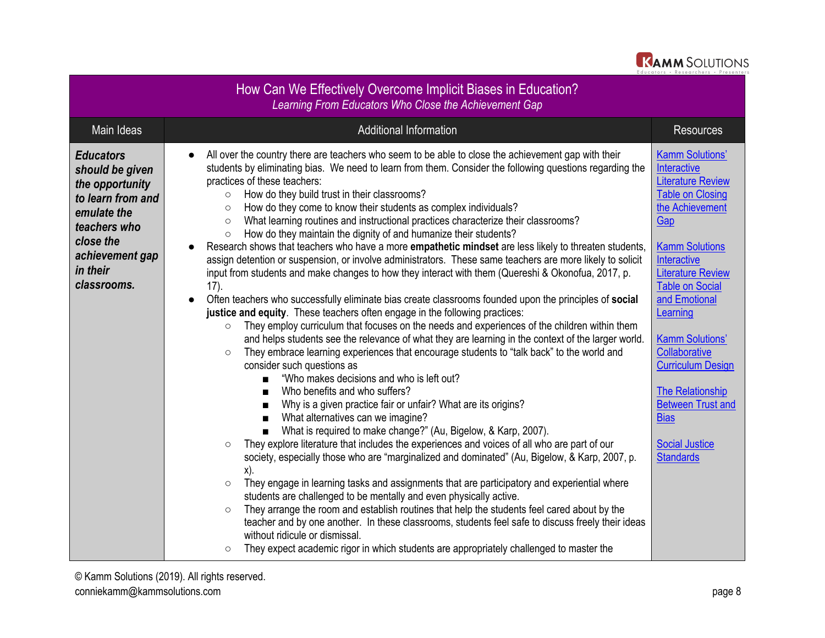

| How Can We Effectively Overcome Implicit Biases in Education?<br>Learning From Educators Who Close the Achievement Gap                                                |                                                                                                                                                                                                                                                                                                                                                                                                                                                                                                                                                                                                                                                                                                                                                                                                                                                                                                                                                                                                                                                                                                                                                                                                                                                                                                                                                                                                                                                                                                                                                                                                                                                                                                                                                                                                                                                                                                                                                                                                                                                                                                                                                                                                                                                                                                                                                                                                                                                                                                                                         |                                                                                                                                                                                                                                                                                                                                                                                                                                             |  |
|-----------------------------------------------------------------------------------------------------------------------------------------------------------------------|-----------------------------------------------------------------------------------------------------------------------------------------------------------------------------------------------------------------------------------------------------------------------------------------------------------------------------------------------------------------------------------------------------------------------------------------------------------------------------------------------------------------------------------------------------------------------------------------------------------------------------------------------------------------------------------------------------------------------------------------------------------------------------------------------------------------------------------------------------------------------------------------------------------------------------------------------------------------------------------------------------------------------------------------------------------------------------------------------------------------------------------------------------------------------------------------------------------------------------------------------------------------------------------------------------------------------------------------------------------------------------------------------------------------------------------------------------------------------------------------------------------------------------------------------------------------------------------------------------------------------------------------------------------------------------------------------------------------------------------------------------------------------------------------------------------------------------------------------------------------------------------------------------------------------------------------------------------------------------------------------------------------------------------------------------------------------------------------------------------------------------------------------------------------------------------------------------------------------------------------------------------------------------------------------------------------------------------------------------------------------------------------------------------------------------------------------------------------------------------------------------------------------------------------|---------------------------------------------------------------------------------------------------------------------------------------------------------------------------------------------------------------------------------------------------------------------------------------------------------------------------------------------------------------------------------------------------------------------------------------------|--|
| Main Ideas                                                                                                                                                            | <b>Additional Information</b>                                                                                                                                                                                                                                                                                                                                                                                                                                                                                                                                                                                                                                                                                                                                                                                                                                                                                                                                                                                                                                                                                                                                                                                                                                                                                                                                                                                                                                                                                                                                                                                                                                                                                                                                                                                                                                                                                                                                                                                                                                                                                                                                                                                                                                                                                                                                                                                                                                                                                                           | <b>Resources</b>                                                                                                                                                                                                                                                                                                                                                                                                                            |  |
| <b>Educators</b><br>should be given<br>the opportunity<br>to learn from and<br>emulate the<br>teachers who<br>close the<br>achievement gap<br>in their<br>classrooms. | All over the country there are teachers who seem to be able to close the achievement gap with their<br>$\bullet$<br>students by eliminating bias. We need to learn from them. Consider the following questions regarding the<br>practices of these teachers:<br>How do they build trust in their classrooms?<br>$\circ$<br>How do they come to know their students as complex individuals?<br>$\circ$<br>What learning routines and instructional practices characterize their classrooms?<br>$\circ$<br>How do they maintain the dignity of and humanize their students?<br>$\circ$<br>Research shows that teachers who have a more <b>empathetic mindset</b> are less likely to threaten students,<br>assign detention or suspension, or involve administrators. These same teachers are more likely to solicit<br>input from students and make changes to how they interact with them (Quereshi & Okonofua, 2017, p.<br>17).<br>Often teachers who successfully eliminate bias create classrooms founded upon the principles of social<br>justice and equity. These teachers often engage in the following practices:<br>They employ curriculum that focuses on the needs and experiences of the children within them<br>$\circ$<br>and helps students see the relevance of what they are learning in the context of the larger world.<br>They embrace learning experiences that encourage students to "talk back" to the world and<br>$\circ$<br>consider such questions as<br>"Who makes decisions and who is left out?<br>Who benefits and who suffers?<br>п<br>Why is a given practice fair or unfair? What are its origins?<br>$\blacksquare$<br>What alternatives can we imagine?<br>$\blacksquare$<br>What is required to make change?" (Au, Bigelow, & Karp, 2007).<br>They explore literature that includes the experiences and voices of all who are part of our<br>$\circ$<br>society, especially those who are "marginalized and dominated" (Au, Bigelow, & Karp, 2007, p.<br>x).<br>They engage in learning tasks and assignments that are participatory and experiential where<br>$\circ$<br>students are challenged to be mentally and even physically active.<br>They arrange the room and establish routines that help the students feel cared about by the<br>$\circ$<br>teacher and by one another. In these classrooms, students feel safe to discuss freely their ideas<br>without ridicule or dismissal.<br>They expect academic rigor in which students are appropriately challenged to master the<br>$\circ$ | <b>Kamm Solutions'</b><br>Interactive<br><b>Literature Review</b><br><b>Table on Closing</b><br>the Achievement<br>Gap<br><b>Kamm Solutions</b><br>Interactive<br><b>Literature Review</b><br><b>Table on Social</b><br>and Emotional<br>Learning<br><b>Kamm Solutions'</b><br>Collaborative<br><b>Curriculum Design</b><br><b>The Relationship</b><br><b>Between Trust and</b><br><b>Bias</b><br><b>Social Justice</b><br><b>Standards</b> |  |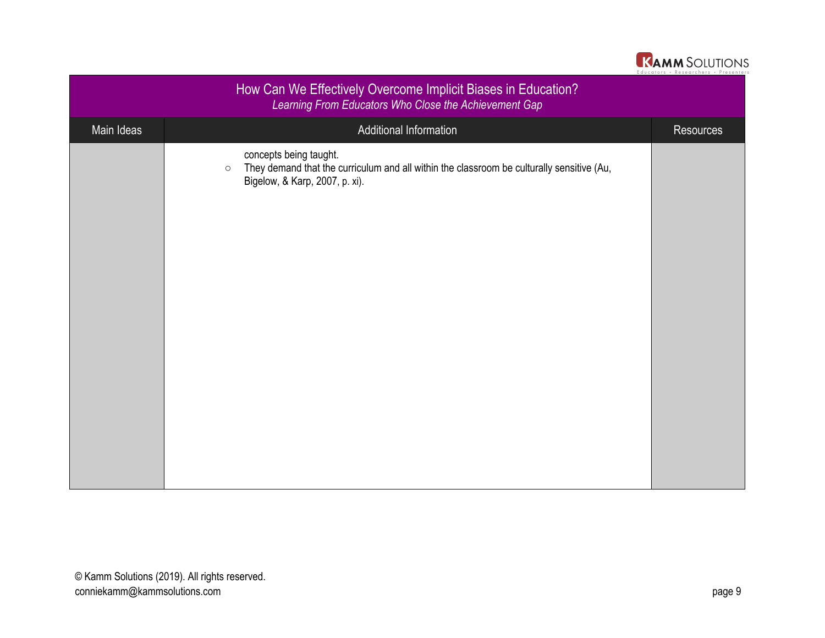| <b>KAMM SOLUTIONS</b>                |
|--------------------------------------|
| Educators · Researchers · Presenters |

| How Can We Effectively Overcome Implicit Biases in Education?<br>Learning From Educators Who Close the Achievement Gap |                                                                                                                                                                  |                  |
|------------------------------------------------------------------------------------------------------------------------|------------------------------------------------------------------------------------------------------------------------------------------------------------------|------------------|
| Main Ideas                                                                                                             | Additional Information                                                                                                                                           | <b>Resources</b> |
|                                                                                                                        | concepts being taught.<br>They demand that the curriculum and all within the classroom be culturally sensitive (Au,<br>$\circ$<br>Bigelow, & Karp, 2007, p. xi). |                  |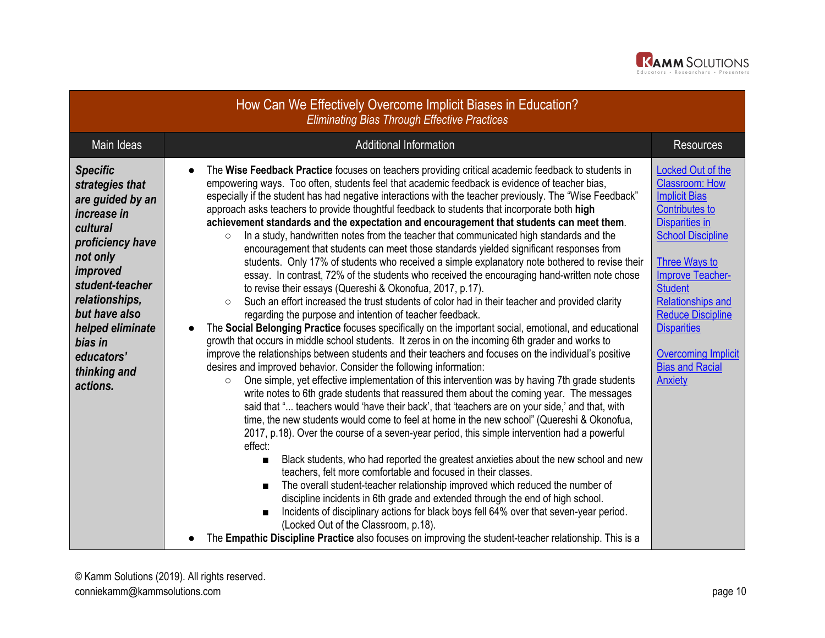

| How Can We Effectively Overcome Implicit Biases in Education?<br><b>Eliminating Bias Through Effective Practices</b>                                                                                                                                         |                                                                                                                                                                                                                                                                                                                                                                                                                                                                                                                                                                                                                                                                                                                                                                                                                                                                                                                                                                                                                                                                                                                                                                                                                                                                                                                                                                                                                                                                                                                                                                                                                                                                                                                                                                                                                                                                                                                                                                                                                                                                                                                                                                                                                                                                                                                                                                                                                                                                                                                                                                                                                                                                                                                                               |                                                                                                                                                                                                                                                                                                                                                                               |  |
|--------------------------------------------------------------------------------------------------------------------------------------------------------------------------------------------------------------------------------------------------------------|-----------------------------------------------------------------------------------------------------------------------------------------------------------------------------------------------------------------------------------------------------------------------------------------------------------------------------------------------------------------------------------------------------------------------------------------------------------------------------------------------------------------------------------------------------------------------------------------------------------------------------------------------------------------------------------------------------------------------------------------------------------------------------------------------------------------------------------------------------------------------------------------------------------------------------------------------------------------------------------------------------------------------------------------------------------------------------------------------------------------------------------------------------------------------------------------------------------------------------------------------------------------------------------------------------------------------------------------------------------------------------------------------------------------------------------------------------------------------------------------------------------------------------------------------------------------------------------------------------------------------------------------------------------------------------------------------------------------------------------------------------------------------------------------------------------------------------------------------------------------------------------------------------------------------------------------------------------------------------------------------------------------------------------------------------------------------------------------------------------------------------------------------------------------------------------------------------------------------------------------------------------------------------------------------------------------------------------------------------------------------------------------------------------------------------------------------------------------------------------------------------------------------------------------------------------------------------------------------------------------------------------------------------------------------------------------------------------------------------------------------|-------------------------------------------------------------------------------------------------------------------------------------------------------------------------------------------------------------------------------------------------------------------------------------------------------------------------------------------------------------------------------|--|
| Main Ideas                                                                                                                                                                                                                                                   | Additional Information                                                                                                                                                                                                                                                                                                                                                                                                                                                                                                                                                                                                                                                                                                                                                                                                                                                                                                                                                                                                                                                                                                                                                                                                                                                                                                                                                                                                                                                                                                                                                                                                                                                                                                                                                                                                                                                                                                                                                                                                                                                                                                                                                                                                                                                                                                                                                                                                                                                                                                                                                                                                                                                                                                                        | <b>Resources</b>                                                                                                                                                                                                                                                                                                                                                              |  |
| <b>Specific</b><br>strategies that<br>are guided by an<br>increase in<br>cultural<br>proficiency have<br>not only<br>improved<br>student-teacher<br>relationships,<br>but have also<br>helped eliminate<br>bias in<br>educators'<br>thinking and<br>actions. | The Wise Feedback Practice focuses on teachers providing critical academic feedback to students in<br>$\bullet$<br>empowering ways. Too often, students feel that academic feedback is evidence of teacher bias,<br>especially if the student has had negative interactions with the teacher previously. The "Wise Feedback"<br>approach asks teachers to provide thoughtful feedback to students that incorporate both high<br>achievement standards and the expectation and encouragement that students can meet them.<br>In a study, handwritten notes from the teacher that communicated high standards and the<br>$\circ$<br>encouragement that students can meet those standards yielded significant responses from<br>students. Only 17% of students who received a simple explanatory note bothered to revise their<br>essay. In contrast, 72% of the students who received the encouraging hand-written note chose<br>to revise their essays (Quereshi & Okonofua, 2017, p.17).<br>Such an effort increased the trust students of color had in their teacher and provided clarity<br>$\circ$<br>regarding the purpose and intention of teacher feedback.<br>The Social Belonging Practice focuses specifically on the important social, emotional, and educational<br>$\bullet$<br>growth that occurs in middle school students. It zeros in on the incoming 6th grader and works to<br>improve the relationships between students and their teachers and focuses on the individual's positive<br>desires and improved behavior. Consider the following information:<br>One simple, yet effective implementation of this intervention was by having 7th grade students<br>$\circ$<br>write notes to 6th grade students that reassured them about the coming year. The messages<br>said that " teachers would 'have their back', that 'teachers are on your side,' and that, with<br>time, the new students would come to feel at home in the new school" (Quereshi & Okonofua,<br>2017, p.18). Over the course of a seven-year period, this simple intervention had a powerful<br>effect:<br>Black students, who had reported the greatest anxieties about the new school and new<br>$\blacksquare$<br>teachers, felt more comfortable and focused in their classes.<br>The overall student-teacher relationship improved which reduced the number of<br>$\blacksquare$<br>discipline incidents in 6th grade and extended through the end of high school.<br>Incidents of disciplinary actions for black boys fell 64% over that seven-year period.<br>$\blacksquare$<br>(Locked Out of the Classroom, p.18).<br>The Empathic Discipline Practice also focuses on improving the student-teacher relationship. This is a<br>$\bullet$ | <b>Locked Out of the</b><br><b>Classroom: How</b><br><b>Implicit Bias</b><br><b>Contributes to</b><br><b>Disparities in</b><br><b>School Discipline</b><br>Three Ways to<br><b>Improve Teacher-</b><br><b>Student</b><br><b>Relationships and</b><br><b>Reduce Discipline</b><br><b>Disparities</b><br><b>Overcoming Implicit</b><br><b>Bias and Racial</b><br><b>Anxiety</b> |  |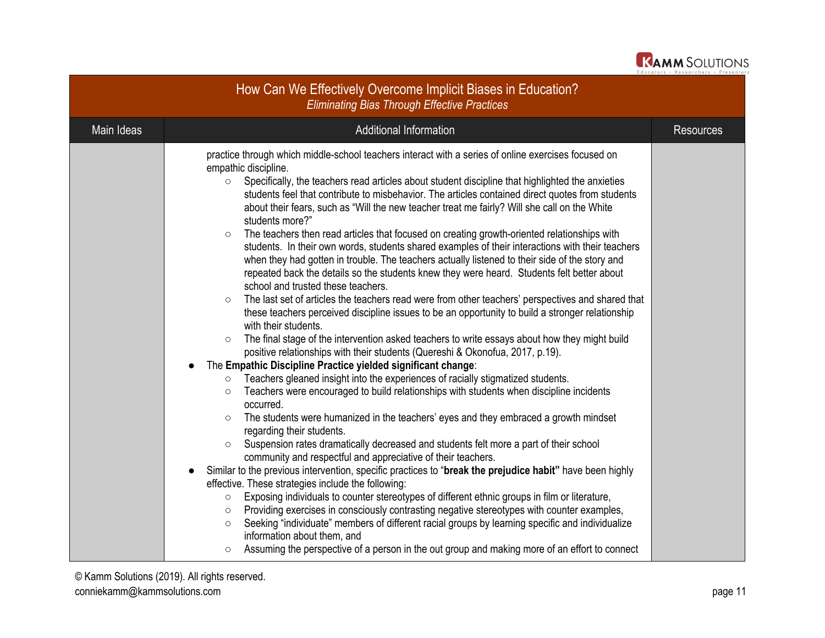

| How Can We Effectively Overcome Implicit Biases in Education?<br><b>Eliminating Bias Through Effective Practices</b> |                                                                                                                                                                                                                                                                                                                                                                                                                                                                                                                                                                                                                                                                                                                                                                                                                                                                                                                                                                                                                                                                                                                                                                                                                                                                                                                                                                                                                                                                                                                                                                                                                                                                                                                                                                                                                                                                                                                                                                                                                                                                                                                                                                                                                                                                                                                                                                                                                                                                                                                                                                                          |                  |  |
|----------------------------------------------------------------------------------------------------------------------|------------------------------------------------------------------------------------------------------------------------------------------------------------------------------------------------------------------------------------------------------------------------------------------------------------------------------------------------------------------------------------------------------------------------------------------------------------------------------------------------------------------------------------------------------------------------------------------------------------------------------------------------------------------------------------------------------------------------------------------------------------------------------------------------------------------------------------------------------------------------------------------------------------------------------------------------------------------------------------------------------------------------------------------------------------------------------------------------------------------------------------------------------------------------------------------------------------------------------------------------------------------------------------------------------------------------------------------------------------------------------------------------------------------------------------------------------------------------------------------------------------------------------------------------------------------------------------------------------------------------------------------------------------------------------------------------------------------------------------------------------------------------------------------------------------------------------------------------------------------------------------------------------------------------------------------------------------------------------------------------------------------------------------------------------------------------------------------------------------------------------------------------------------------------------------------------------------------------------------------------------------------------------------------------------------------------------------------------------------------------------------------------------------------------------------------------------------------------------------------------------------------------------------------------------------------------------------------|------------------|--|
| Main Ideas                                                                                                           | <b>Additional Information</b>                                                                                                                                                                                                                                                                                                                                                                                                                                                                                                                                                                                                                                                                                                                                                                                                                                                                                                                                                                                                                                                                                                                                                                                                                                                                                                                                                                                                                                                                                                                                                                                                                                                                                                                                                                                                                                                                                                                                                                                                                                                                                                                                                                                                                                                                                                                                                                                                                                                                                                                                                            | <b>Resources</b> |  |
|                                                                                                                      | practice through which middle-school teachers interact with a series of online exercises focused on<br>empathic discipline.<br>Specifically, the teachers read articles about student discipline that highlighted the anxieties<br>$\circ$<br>students feel that contribute to misbehavior. The articles contained direct quotes from students<br>about their fears, such as "Will the new teacher treat me fairly? Will she call on the White<br>students more?"<br>The teachers then read articles that focused on creating growth-oriented relationships with<br>$\circ$<br>students. In their own words, students shared examples of their interactions with their teachers<br>when they had gotten in trouble. The teachers actually listened to their side of the story and<br>repeated back the details so the students knew they were heard. Students felt better about<br>school and trusted these teachers.<br>The last set of articles the teachers read were from other teachers' perspectives and shared that<br>$\circ$<br>these teachers perceived discipline issues to be an opportunity to build a stronger relationship<br>with their students.<br>The final stage of the intervention asked teachers to write essays about how they might build<br>$\circ$<br>positive relationships with their students (Quereshi & Okonofua, 2017, p.19).<br>The Empathic Discipline Practice yielded significant change:<br>Teachers gleaned insight into the experiences of racially stigmatized students.<br>$\circ$<br>Teachers were encouraged to build relationships with students when discipline incidents<br>$\circ$<br>occurred.<br>The students were humanized in the teachers' eyes and they embraced a growth mindset<br>regarding their students.<br>Suspension rates dramatically decreased and students felt more a part of their school<br>$\circ$<br>community and respectful and appreciative of their teachers.<br>Similar to the previous intervention, specific practices to "break the prejudice habit" have been highly<br>effective. These strategies include the following:<br>Exposing individuals to counter stereotypes of different ethnic groups in film or literature,<br>$\circ$<br>Providing exercises in consciously contrasting negative stereotypes with counter examples,<br>$\circ$<br>Seeking "individuate" members of different racial groups by learning specific and individualize<br>$\circ$<br>information about them, and<br>Assuming the perspective of a person in the out group and making more of an effort to connect<br>$\circ$ |                  |  |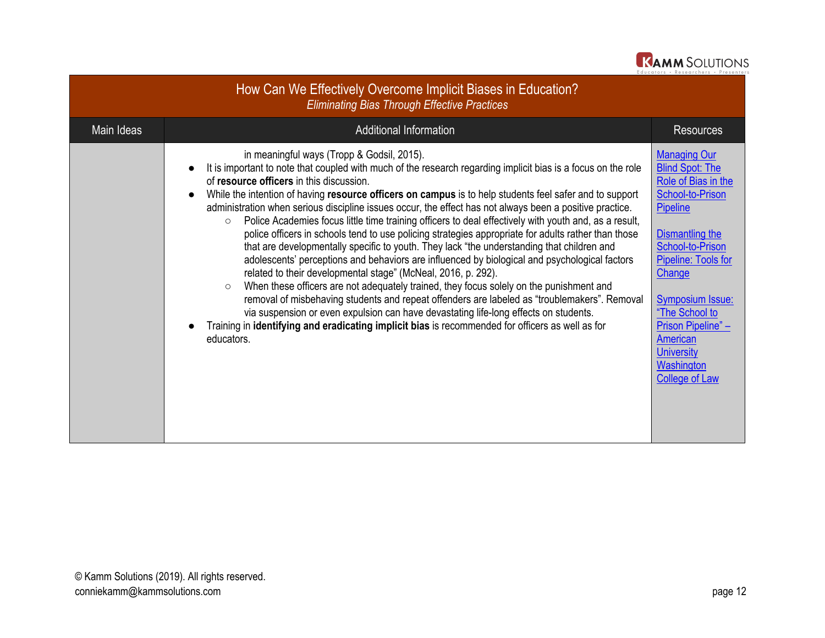

|            | How Can We Effectively Overcome Implicit Biases in Education?<br><b>Eliminating Bias Through Effective Practices</b>                                                                                                                                                                                                                                                                                                                                                                                                                                                                                                                                                                                                                                                                                                                                                                                                                                                                                                                                                                                                                                                                                                                                                                                                                      |                                                                                                                                                                                                                                                                                                                                |
|------------|-------------------------------------------------------------------------------------------------------------------------------------------------------------------------------------------------------------------------------------------------------------------------------------------------------------------------------------------------------------------------------------------------------------------------------------------------------------------------------------------------------------------------------------------------------------------------------------------------------------------------------------------------------------------------------------------------------------------------------------------------------------------------------------------------------------------------------------------------------------------------------------------------------------------------------------------------------------------------------------------------------------------------------------------------------------------------------------------------------------------------------------------------------------------------------------------------------------------------------------------------------------------------------------------------------------------------------------------|--------------------------------------------------------------------------------------------------------------------------------------------------------------------------------------------------------------------------------------------------------------------------------------------------------------------------------|
| Main Ideas | Additional Information                                                                                                                                                                                                                                                                                                                                                                                                                                                                                                                                                                                                                                                                                                                                                                                                                                                                                                                                                                                                                                                                                                                                                                                                                                                                                                                    | <b>Resources</b>                                                                                                                                                                                                                                                                                                               |
|            | in meaningful ways (Tropp & Godsil, 2015).<br>It is important to note that coupled with much of the research regarding implicit bias is a focus on the role<br>of resource officers in this discussion.<br>While the intention of having resource officers on campus is to help students feel safer and to support<br>administration when serious discipline issues occur, the effect has not always been a positive practice.<br>Police Academies focus little time training officers to deal effectively with youth and, as a result,<br>$\circ$<br>police officers in schools tend to use policing strategies appropriate for adults rather than those<br>that are developmentally specific to youth. They lack "the understanding that children and<br>adolescents' perceptions and behaviors are influenced by biological and psychological factors<br>related to their developmental stage" (McNeal, 2016, p. 292).<br>When these officers are not adequately trained, they focus solely on the punishment and<br>$\circ$<br>removal of misbehaving students and repeat offenders are labeled as "troublemakers". Removal<br>via suspension or even expulsion can have devastating life-long effects on students.<br>Training in identifying and eradicating implicit bias is recommended for officers as well as for<br>educators. | <b>Managing Our</b><br><b>Blind Spot: The</b><br>Role of Bias in the<br>School-to-Prison<br>Pipeline<br>Dismantling the<br><b>School-to-Prison</b><br>Pipeline: Tools for<br>Change<br><b>Symposium Issue:</b><br>"The School to<br>Prison Pipeline" -<br>American<br><b>University</b><br>Washington<br><b>College of Law</b> |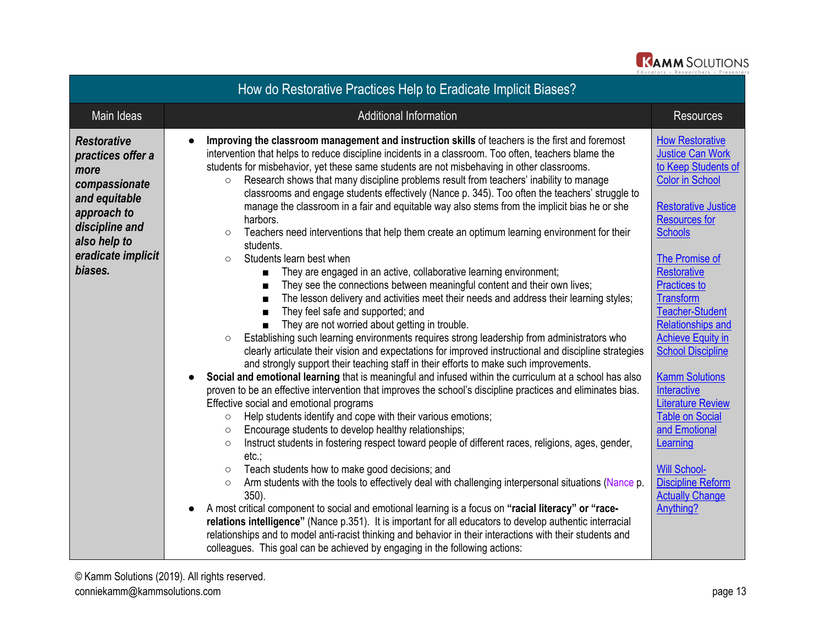

| How do Restorative Practices Help to Eradicate Implicit Biases?                                                                                                     |                                                                                                                                                                                                                                                                                                                                                                                                                                                                                                                                                                                                                                                                                                                                                                                                                                                                                                                                                                                                                                                                                                                                                                                                                                                                                                                                                                                                                                                                                                                                                                                                                                                                                                                                                                                                                                                                                                                                                                                                                                                                                                                                                                                                                                                                                                                                                                                                                                                                                                                                                                                                                                                   |                                                                                                                                                                                                                                                                                                                                                                                                                                                                                                                                                                                                  |  |  |
|---------------------------------------------------------------------------------------------------------------------------------------------------------------------|---------------------------------------------------------------------------------------------------------------------------------------------------------------------------------------------------------------------------------------------------------------------------------------------------------------------------------------------------------------------------------------------------------------------------------------------------------------------------------------------------------------------------------------------------------------------------------------------------------------------------------------------------------------------------------------------------------------------------------------------------------------------------------------------------------------------------------------------------------------------------------------------------------------------------------------------------------------------------------------------------------------------------------------------------------------------------------------------------------------------------------------------------------------------------------------------------------------------------------------------------------------------------------------------------------------------------------------------------------------------------------------------------------------------------------------------------------------------------------------------------------------------------------------------------------------------------------------------------------------------------------------------------------------------------------------------------------------------------------------------------------------------------------------------------------------------------------------------------------------------------------------------------------------------------------------------------------------------------------------------------------------------------------------------------------------------------------------------------------------------------------------------------------------------------------------------------------------------------------------------------------------------------------------------------------------------------------------------------------------------------------------------------------------------------------------------------------------------------------------------------------------------------------------------------------------------------------------------------------------------------------------------------|--------------------------------------------------------------------------------------------------------------------------------------------------------------------------------------------------------------------------------------------------------------------------------------------------------------------------------------------------------------------------------------------------------------------------------------------------------------------------------------------------------------------------------------------------------------------------------------------------|--|--|
| Main Ideas                                                                                                                                                          | <b>Additional Information</b>                                                                                                                                                                                                                                                                                                                                                                                                                                                                                                                                                                                                                                                                                                                                                                                                                                                                                                                                                                                                                                                                                                                                                                                                                                                                                                                                                                                                                                                                                                                                                                                                                                                                                                                                                                                                                                                                                                                                                                                                                                                                                                                                                                                                                                                                                                                                                                                                                                                                                                                                                                                                                     | <b>Resources</b>                                                                                                                                                                                                                                                                                                                                                                                                                                                                                                                                                                                 |  |  |
| <b>Restorative</b><br>practices offer a<br>more<br>compassionate<br>and equitable<br>approach to<br>discipline and<br>also help to<br>eradicate implicit<br>biases. | Improving the classroom management and instruction skills of teachers is the first and foremost<br>intervention that helps to reduce discipline incidents in a classroom. Too often, teachers blame the<br>students for misbehavior, yet these same students are not misbehaving in other classrooms.<br>Research shows that many discipline problems result from teachers' inability to manage<br>$\circ$<br>classrooms and engage students effectively (Nance p. 345). Too often the teachers' struggle to<br>manage the classroom in a fair and equitable way also stems from the implicit bias he or she<br>harbors.<br>Teachers need interventions that help them create an optimum learning environment for their<br>$\circ$<br>students.<br>Students learn best when<br>$\circ$<br>They are engaged in an active, collaborative learning environment;<br>■<br>They see the connections between meaningful content and their own lives;<br>The lesson delivery and activities meet their needs and address their learning styles;<br>$\blacksquare$<br>They feel safe and supported; and<br>They are not worried about getting in trouble.<br>Establishing such learning environments requires strong leadership from administrators who<br>$\circ$<br>clearly articulate their vision and expectations for improved instructional and discipline strategies<br>and strongly support their teaching staff in their efforts to make such improvements.<br>Social and emotional learning that is meaningful and infused within the curriculum at a school has also<br>$\bullet$<br>proven to be an effective intervention that improves the school's discipline practices and eliminates bias.<br>Effective social and emotional programs<br>Help students identify and cope with their various emotions;<br>$\circ$<br>Encourage students to develop healthy relationships;<br>$\circ$<br>Instruct students in fostering respect toward people of different races, religions, ages, gender,<br>$\circ$<br>$etc.$ ;<br>Teach students how to make good decisions; and<br>$\circ$<br>Arm students with the tools to effectively deal with challenging interpersonal situations (Nance p.<br>$\circ$<br>$350$ ).<br>A most critical component to social and emotional learning is a focus on "racial literacy" or "race-<br>$\bullet$<br>relations intelligence" (Nance p.351). It is important for all educators to develop authentic interracial<br>relationships and to model anti-racist thinking and behavior in their interactions with their students and<br>colleagues. This goal can be achieved by engaging in the following actions: | <b>How Restorative</b><br><b>Justice Can Work</b><br>to Keep Students of<br><b>Color in School</b><br><b>Restorative Justice</b><br><b>Resources for</b><br><b>Schools</b><br>The Promise of<br><b>Restorative</b><br><b>Practices to</b><br><b>Transform</b><br><b>Teacher-Student</b><br><b>Relationships and</b><br><b>Achieve Equity in</b><br><b>School Discipline</b><br><b>Kamm Solutions</b><br>Interactive<br><b>Literature Review</b><br><b>Table on Social</b><br>and Emotional<br>Learning<br><b>Will School-</b><br><b>Discipline Reform</b><br><b>Actually Change</b><br>Anything? |  |  |

© Kamm Solutions (2019). All rights reserved. conniekamm@kammsolutions.com **page 13**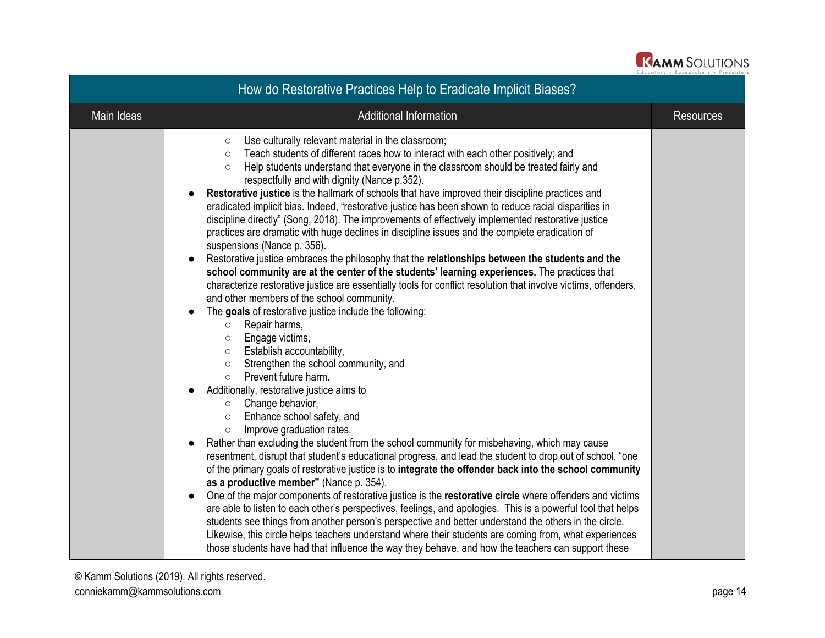

| How do Restorative Practices Help to Eradicate Implicit Biases? |                                                                                                                                                                                                                                                                                                                                                                                                                                                                                                                                                                                                                                                                                                                                                                                                                                                                                                                                                                                                                                                                                                                                                                                                                                                                                                                                                                                                                                                                                                                                                                                                                                                                                                                                                                                                                                                                                                                                                                                                                                                                                                                                                                                                                                                                                                                                                                                                                                                                               |                  |  |  |
|-----------------------------------------------------------------|-------------------------------------------------------------------------------------------------------------------------------------------------------------------------------------------------------------------------------------------------------------------------------------------------------------------------------------------------------------------------------------------------------------------------------------------------------------------------------------------------------------------------------------------------------------------------------------------------------------------------------------------------------------------------------------------------------------------------------------------------------------------------------------------------------------------------------------------------------------------------------------------------------------------------------------------------------------------------------------------------------------------------------------------------------------------------------------------------------------------------------------------------------------------------------------------------------------------------------------------------------------------------------------------------------------------------------------------------------------------------------------------------------------------------------------------------------------------------------------------------------------------------------------------------------------------------------------------------------------------------------------------------------------------------------------------------------------------------------------------------------------------------------------------------------------------------------------------------------------------------------------------------------------------------------------------------------------------------------------------------------------------------------------------------------------------------------------------------------------------------------------------------------------------------------------------------------------------------------------------------------------------------------------------------------------------------------------------------------------------------------------------------------------------------------------------------------------------------------|------------------|--|--|
| Main Ideas                                                      | Additional Information                                                                                                                                                                                                                                                                                                                                                                                                                                                                                                                                                                                                                                                                                                                                                                                                                                                                                                                                                                                                                                                                                                                                                                                                                                                                                                                                                                                                                                                                                                                                                                                                                                                                                                                                                                                                                                                                                                                                                                                                                                                                                                                                                                                                                                                                                                                                                                                                                                                        | <b>Resources</b> |  |  |
|                                                                 | Use culturally relevant material in the classroom;<br>$\circ$<br>Teach students of different races how to interact with each other positively; and<br>$\circ$<br>Help students understand that everyone in the classroom should be treated fairly and<br>$\circ$<br>respectfully and with dignity (Nance p.352).<br>Restorative justice is the hallmark of schools that have improved their discipline practices and<br>eradicated implicit bias. Indeed, "restorative justice has been shown to reduce racial disparities in<br>discipline directly" (Song, 2018). The improvements of effectively implemented restorative justice<br>practices are dramatic with huge declines in discipline issues and the complete eradication of<br>suspensions (Nance p. 356).<br>Restorative justice embraces the philosophy that the relationships between the students and the<br>school community are at the center of the students' learning experiences. The practices that<br>characterize restorative justice are essentially tools for conflict resolution that involve victims, offenders,<br>and other members of the school community.<br>The goals of restorative justice include the following:<br>Repair harms,<br>$\circ$<br>Engage victims,<br>$\circ$<br>Establish accountability,<br>$\circ$<br>Strengthen the school community, and<br>$\circ$<br>Prevent future harm.<br>$\circ$<br>Additionally, restorative justice aims to<br>$\circ$ Change behavior,<br>Enhance school safety, and<br>$\circ$<br>Improve graduation rates.<br>$\circ$<br>Rather than excluding the student from the school community for misbehaving, which may cause<br>resentment, disrupt that student's educational progress, and lead the student to drop out of school, "one<br>of the primary goals of restorative justice is to integrate the offender back into the school community<br>as a productive member" (Nance p. 354).<br>One of the major components of restorative justice is the restorative circle where offenders and victims<br>are able to listen to each other's perspectives, feelings, and apologies. This is a powerful tool that helps<br>students see things from another person's perspective and better understand the others in the circle.<br>Likewise, this circle helps teachers understand where their students are coming from, what experiences<br>those students have had that influence the way they behave, and how the teachers can support these |                  |  |  |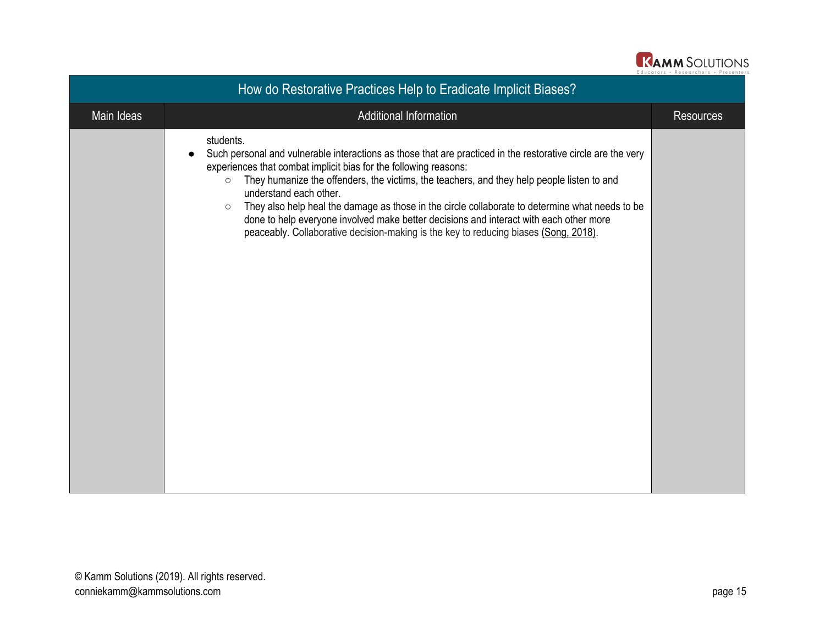| <b>KAMM SOLUTIONS</b>                |
|--------------------------------------|
| Educators , Posoarchors , Prosentars |

| How do Restorative Practices Help to Eradicate Implicit Biases? |                                                                                                                                                                                                                                                                                                                                                                                                                                                                                                                                                                                                                                  |                  |  |  |
|-----------------------------------------------------------------|----------------------------------------------------------------------------------------------------------------------------------------------------------------------------------------------------------------------------------------------------------------------------------------------------------------------------------------------------------------------------------------------------------------------------------------------------------------------------------------------------------------------------------------------------------------------------------------------------------------------------------|------------------|--|--|
| Main Ideas                                                      | Additional Information                                                                                                                                                                                                                                                                                                                                                                                                                                                                                                                                                                                                           | <b>Resources</b> |  |  |
|                                                                 | students.<br>Such personal and vulnerable interactions as those that are practiced in the restorative circle are the very<br>experiences that combat implicit bias for the following reasons:<br>They humanize the offenders, the victims, the teachers, and they help people listen to and<br>$\circ$<br>understand each other.<br>They also help heal the damage as those in the circle collaborate to determine what needs to be<br>$\circ$<br>done to help everyone involved make better decisions and interact with each other more<br>peaceably. Collaborative decision-making is the key to reducing biases (Song, 2018). |                  |  |  |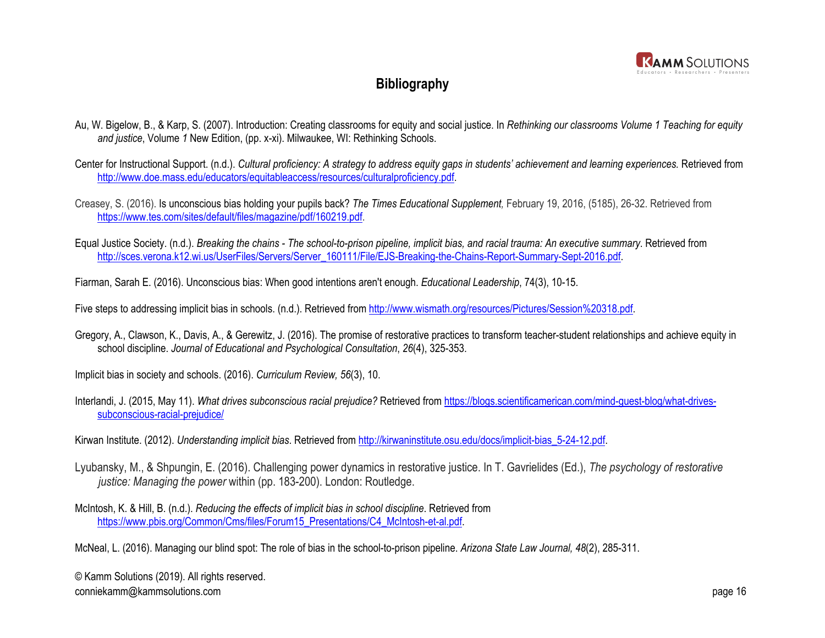

## **Bibliography**

- Au, W. Bigelow, B., & Karp, S. (2007). Introduction: Creating classrooms for equity and social justice. In *Rethinking our classrooms Volume 1 Teaching for equity and justice*, Volume *1* New Edition, (pp. x-xi). Milwaukee, WI: Rethinking Schools.
- Center for Instructional Support. (n.d.). *Cultural proficiency: A strategy to address equity gaps in students' achievement and learning experiences.* Retrieved from <http://www.doe.mass.edu/educators/equitableaccess/resources/culturalproficiency.pdf>.
- Creasey, S. (2016). Is unconscious bias holding your pupils back? *The Times Educational Supplement,* February 19, 2016, (5185), 26-32. Retrieved from [https://www.tes.com/sites/default/files/magazine/pdf/160219.pdf.](https://www.tes.com/sites/default/files/magazine/pdf/160219.pdf)
- Equal Justice Society. (n.d.). *Breaking the chains The school-to-prison pipeline, implicit bias, and racial trauma: An executive summary*. Retrieved from [http://sces.verona.k12.wi.us/UserFiles/Servers/Server\\_160111/File/EJS-Breaking-the-Chains-Report-Summary-Sept-2016.pdf.](http://sces.verona.k12.wi.us/UserFiles/Servers/Server_160111/File/EJS-Breaking-the-Chains-Report-Summary-Sept-2016.pdf)
- Fiarman, Sarah E. (2016). Unconscious bias: When good intentions aren't enough. *Educational Leadership*, 74(3), 10-15.
- Five steps to addressing implicit bias in schools. (n.d.). Retrieved from<http://www.wismath.org/resources/Pictures/Session%20318.pdf>.
- Gregory, A., Clawson, K., Davis, A., & Gerewitz, J. (2016). The promise of restorative practices to transform teacher-student relationships and achieve equity in school discipline. *Journal of Educational and Psychological Consultation*, *26*(4), 325-353.
- Implicit bias in society and schools. (2016). *Curriculum Review, 56*(3), 10.
- Interlandi, J. (2015, May 11). *What drives subconscious racial prejudice?* Retrieved from [https://blogs.scientificamerican.com/mind-guest-blog/what-drives](https://blogs.scientificamerican.com/mind-guest-blog/what-drives-subconscious-racial-prejudice/)[subconscious-racial-prejudice/](https://blogs.scientificamerican.com/mind-guest-blog/what-drives-subconscious-racial-prejudice/)
- Kirwan Institute. (2012). *Understanding implicit bias*. Retrieved from [http://kirwaninstitute.osu.edu/docs/implicit-bias\\_5-24-12.pdf.](http://kirwaninstitute.osu.edu/docs/implicit-bias_5-24-12.pdf)
- Lyubansky, M., & Shpungin, E. (2016). Challenging power dynamics in restorative justice. In T. Gavrielides (Ed.), *The psychology of restorative justice: Managing the power* within (pp. 183-200). London: Routledge.
- McIntosh, K. & Hill, B. (n.d.). *Reducing the effects of implicit bias in school discipline*. Retrieved from [https://www.pbis.org/Common/Cms/files/Forum15\\_Presentations/C4\\_McIntosh-et-al.pdf.](https://www.pbis.org/Common/Cms/files/Forum15_Presentations/C4_McIntosh-et-al.pdf)
- McNeal, L. (2016). Managing our blind spot: The role of bias in the school-to-prison pipeline. *Arizona State Law Journal, 48*(2), 285-311.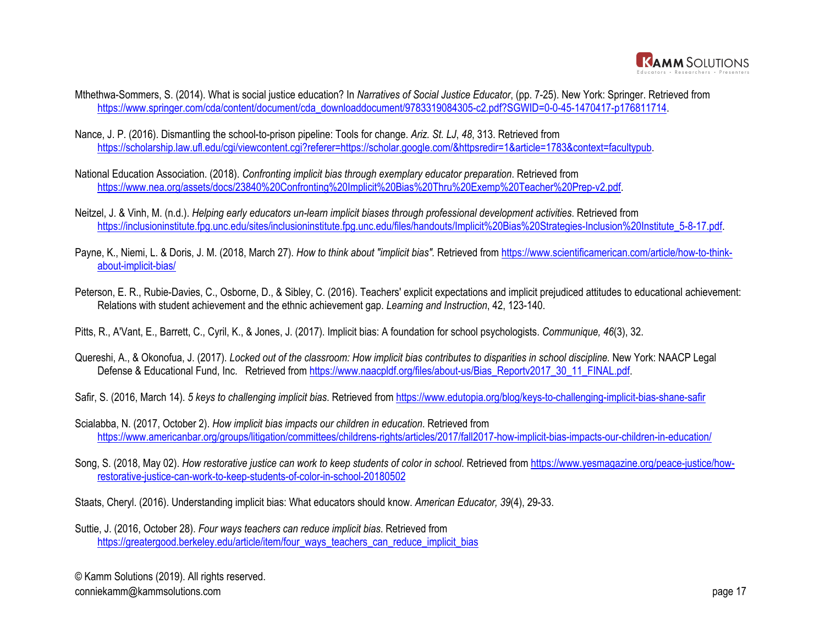

- Mthethwa-Sommers, S. (2014). What is social justice education? In *Narratives of Social Justice Educator*, (pp. 7-25). New York: Springer. Retrieved from [https://www.springer.com/cda/content/document/cda\\_downloaddocument/9783319084305-c2.pdf?SGWID=0-0-45-1470417-p176811714.](https://www.springer.com/cda/content/document/cda_downloaddocument/9783319084305-c2.pdf?SGWID=0-0-45-1470417-p176811714)
- Nance, J. P. (2016). Dismantling the school-to-prison pipeline: Tools for change. *Ariz. St. LJ*, *48*, 313. Retrieved from [https://scholarship.law.ufl.edu/cgi/viewcontent.cgi?referer=https://scholar.google.com/&httpsredir=1&article=1783&context=facultypub.](https://scholarship.law.ufl.edu/cgi/viewcontent.cgi?referer=https://scholar.google.com/&httpsredir=1&article=1783&context=facultypub)
- National Education Association. (2018). *Confronting implicit bias through exemplary educator preparation*. Retrieved from <https://www.nea.org/assets/docs/23840%20Confronting%20Implicit%20Bias%20Thru%20Exemp%20Teacher%20Prep-v2.pdf>.
- Neitzel, J. & Vinh, M. (n.d.). *Helping early educators un-learn implicit biases through professional development activities*. Retrieved from [https://inclusioninstitute.fpg.unc.edu/sites/inclusioninstitute.fpg.unc.edu/files/handouts/Implicit%20Bias%20Strategies-Inclusion%20Institute\\_5-8-17.pdf](https://inclusioninstitute.fpg.unc.edu/sites/inclusioninstitute.fpg.unc.edu/files/handouts/Implicit%20Bias%20Strategies-Inclusion%20Institute_5-8-17.pdf).
- Payne, K., Niemi, L. & Doris, J. M. (2018, March 27). *How to think about "implicit bias"*. Retrieved from [https://www.scientificamerican.com/article/how-to-think](https://www.scientificamerican.com/article/how-to-think-about-implicit-bias/)[about-implicit-bias/](https://www.scientificamerican.com/article/how-to-think-about-implicit-bias/)
- Peterson, E. R., Rubie-Davies, C., Osborne, D., & Sibley, C. (2016). Teachers' explicit expectations and implicit prejudiced attitudes to educational achievement: Relations with student achievement and the ethnic achievement gap. *Learning and Instruction*, 42, 123-140.

Pitts, R., A'Vant, E., Barrett, C., Cyril, K., & Jones, J. (2017). Implicit bias: A foundation for school psychologists. *Communique, 46*(3), 32.

- Quereshi, A., & Okonofua, J. (2017). *Locked out of the classroom: How implicit bias contributes to disparities in school discipline.* New York: NAACP Legal Defense & Educational Fund, Inc. Retrieved from [https://www.naacpldf.org/files/about-us/Bias\\_Reportv2017\\_30\\_11\\_FINAL.pdf.](https://www.naacpldf.org/files/about-us/Bias_Reportv2017_30_11_FINAL.pdf)
- Safir, S. (2016, March 14). *5 keys to challenging implicit bias*. Retrieved from<https://www.edutopia.org/blog/keys-to-challenging-implicit-bias-shane-safir>
- Scialabba, N. (2017, October 2). *How implicit bias impacts our children in education*. Retrieved from <https://www.americanbar.org/groups/litigation/committees/childrens-rights/articles/2017/fall2017-how-implicit-bias-impacts-our-children-in-education/>
- Song, S. (2018, May 02). *How restorative justice can work to keep students of color in school*. Retrieved from [https://www.yesmagazine.org/peace-justice/how](https://www.yesmagazine.org/peace-justice/how-restorative-justice-can-work-to-keep-students-of-color-in-school-20180502)[restorative-justice-can-work-to-keep-students-of-color-in-school-20180502](https://www.yesmagazine.org/peace-justice/how-restorative-justice-can-work-to-keep-students-of-color-in-school-20180502)

Staats, Cheryl. (2016). Understanding implicit bias: What educators should know. *American Educator, 39*(4), 29-33.

Suttie, J. (2016, October 28). *Four ways teachers can reduce implicit bias*. Retrieved from [https://greatergood.berkeley.edu/article/item/four\\_ways\\_teachers\\_can\\_reduce\\_implicit\\_bias](https://greatergood.berkeley.edu/article/item/four_ways_teachers_can_reduce_implicit_bias)